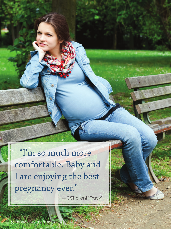"I'm so much more comfortable. Baby and I are enjoying the best pregnancy ever."

-CST client "Tracy"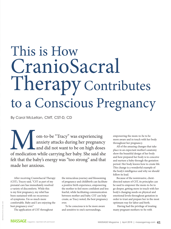# This is How CranioSacral Therapy Contributes to a Conscious Pregnancy

By Carol McLellan, CMT, CST-D, CD

Mom-to-be "Tracy" was experiencing<br>anxiety attacks during her pregnancy<br>of medication while carrying her baby. She said sh anxiety attacks during her pregnancy and did not want to be on high doses of medication while carrying her baby. She said she felt that the baby's energy was "too strong" and that made her anxious.

After receiving CranioSacral Therapy (CST), Tracey said, "CST as part of my prenatal care has immediately resolved a variety of discomforts. While this is my first pregnancy, my relief has been sustained with no recurrence of symptoms. I'm so much more comfortable. Baby and I are enjoying the best pregnancy ever."

The application of CST throughout

the miraculous journey and blossoming of pregnancy and childbirth can facilitate a positive birth experience, empowering the mother to feel more confident and less fearful, while facilitating communication between mother and baby. CST can help create, as Tracy noted, the best pregnancy ever.

To be conscious is to be more aware and sensitive to one's surroundings,

empowering the mom-to-be to be more aware and in touch with her body throughout her pregnancy.

All of the amazing changes that take place in an expectant mother's anatomy show the beautiful design of her body and how prepared her body is to conceive and nurture a baby through the gestation period. Her body knows how to create life. This change is a wonderful example of the body's intelligence and why we should follow its lead.

Because of the noninvasive, clientdirected nature of CST, its principles can be used to empower the mom-to-be to go deeper, getting more in touch with her body's changing needs on physical and emotional levels throughout gestation in order to trust and prepare her in the most optimum way for labor and birth.

 Having had the privilege of treating many pregnant mothers-to-be with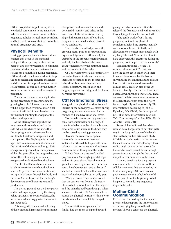CST in hospital settings, I can say it is a wonderful compliment to pre-natal care. When a woman feels more aware with her pregnancy, it helps her feel more confident and better able to make choices toward her optimal pregnancy and birth.

## **Physical Benefits**

During pregnancy, there are tremendous changes that occur in the maternal biology. If the expecting mother has not been treated before pregnancy to eliminate previous injuries or strain patterns, these strains can be amplified during pregnancy. CST works with the inner wisdom to help the body realign and alleviate challenges and discomfort from previous injuries and strain patterns as well as help the motherto-be better accommodate the changes of pregnancy.

The uterus changes drastically in size during pregnancy to accommodate the growing baby. At full term, the uterus will be bigger than five times its original size and it will be 15 times heavier than normal (not counting the weight of the baby and the placenta).

As the uterus grows, it pushes the intestines and stomach up and to the side, which can change the angle that the esophagus enters the stomach and can lead to heartburn, indigestion and constipation. The diaphragm is pushed up, which can cause minor alterations in the position of the heart and lungs. This change is compensated by the expansion of the ribcage to allow the lungs to become more efficient to bring in extra air to oxygenate the additional blood volume.

The client will have about one-anda-half to two times more blood volume, take in 39 percent more air, and store up to 7 quarts of water through her body and the fetus. She will store fat for the baby's development as well as for future milk production.

The uterus grows above the bony pelvis and is no longer supported by the strong pelvic ligaments. To counterbalance, she leans back, which exaggerates the curve in her lower back.

This along with the natural softening of the joints and ligaments from hormone changes can add increased strain and potential discomfort and aches in the lower back. If the uterus is incorrectly aligned, the normal flow of blood and lymph are constricted and can disrupt nerve conduction.

There is also the added pressure the growing uterus puts on the surrounding organs and ligaments. CST can help the uterus be in the proper, centered position and help the body balance the many changes necessary for the optimum health and development of the baby.

CST alleviates physical discomfort, low backache, ligament pain and headache; increases circulation to the mother and baby; diminishes morning sickness; lessens heartburn, constipation and fatigue; supports breathing; and facilitates hormone movement.

### **CST for Emotional Stress**

Along with the physical tension from old injuries or the added physical stress during pregnancy, it is not uncommon for the mother-to-be to have emotional stress.

Hormonal changes during pregnancy can create emotional mood swings. If there is imbalance in the physical body or emotional issues stored in the body, they can be stirred up during pregnancy.

Because the craniosacral system surrounds the autonomic nervous system, it works well to help create more balance in the hormones as well as better communication throughout the body.

"Mindy" was the picture of the ideal pregnant mom. She taught prenatal yoga and was in good shape. Yet as her uterus grew, there was a tightness and restriction across her abdomen that was visible as if she had an invisible belt on. It became more restricted and noticeable as her belly grew.

When we treated her, we discovered that the tension was from an old injury. She also held a lot of fear from that injury and the pain she had been through. When she was treated with CST, she was able to release the physical tension. Within a week her abdomen had completely changed shape.

The restriction was gone and her fundus had the room to expand upward, giving the baby more room. She also released the fear associated with the injury, thus helping alleviate her fear of birth.

"The gentle work of CST during pregnancy relieved my physical complaints, helped me prepare mentally and emotionally for childbirth, and allowed me to connect more deeply with my baby," she said. "I am so thankful to have discovered this treatment during my pregnancy, as it helped me tremendously."

SomatoEmotional Release is a wonderful aspect of CST that can help the client get in touch with their inner wisdom to resolve the issues surrounding the emotion and to release it or transform it, even down to the cellular level. This can also bring up beliefs or family patterns that have been passed down through generations. Those ancestral beliefs can cause symptoms in the client that are not from their own issues, physically and emotionally. This information is according to John E. Upledger, DO, OMM, the developer of CST. (For more information, read *Cell Talk: Transmitting Mind into DNA,* North Atlantic Books, 2010.)

Research has indicated that when a woman has a baby, some of her stem cells stay in the baby and some of the baby's stem cells stay in her. (One such study is "Male microchimerism in the human female brain" on journals.plos.org.) This reality might be one of the reasons for the similar issues passed down through generations, and it might be the cause of idiopathic fear or anxiety in the client.

It is very beneficial for the pregnant mom to be able to release any of these cellular memories that are impeding her health in any way. CST does this in a positive way. Mom is baby's role model or blueprint from the beginning. What happens to Mom during pregnancy impacts the baby.

#### **Mother-Child Communication**

CST is ideal for holding the therapeutic presence that supports the inner wisdom of the emerging baby, as well as the mother. The CST can sense the physical,